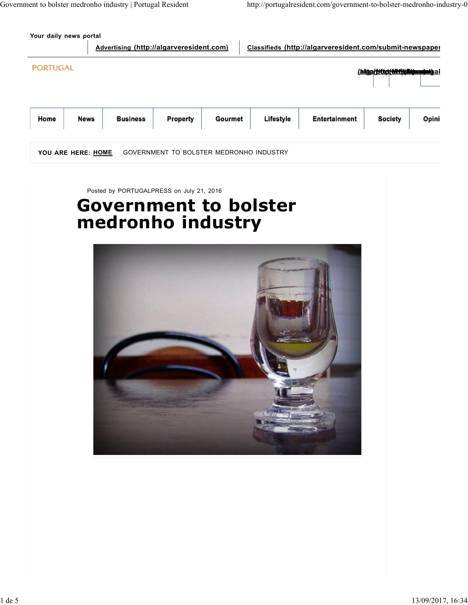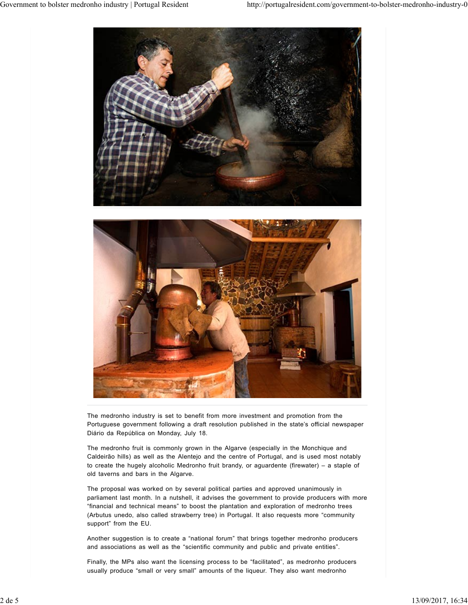

The medronho industry is set to benefit from more investment and promotion from the Portuguese government following a draft resolution published in the state's official newspaper Diário da República on Monday, July 18.

The medronho fruit is commonly grown in the Algarve (especially in the Monchique and Caldeirão hills) as well as the Alentejo and the centre of Portugal, and is used most notably to create the hugely alcoholic Medronho fruit brandy, or aguardente (firewater) – a staple of old taverns and bars in the Algarve.

The proposal was worked on by several political parties and approved unanimously in parliament last month. In a nutshell, it advises the government to provide producers with more "financial and technical means" to boost the plantation and exploration of medronho trees (Arbutus unedo, also called strawberry tree) in Portugal. It also requests more "community support" from the EU. The medconho industry is set to benefit from more investment and promotion from the Portiguese government following a draft resolution published in the state's official newspaper<br>Diano dis repolution on Monday, July 18.<br>T

Another suggestion is to create a "national forum" that brings together medronho producers and associations as well as the "scientific community and public and private entities".

Finally, the MPs also want the licensing process to be "facilitated", as medronho producers usually produce "small or very small" amounts of the liqueur. They also want medronho